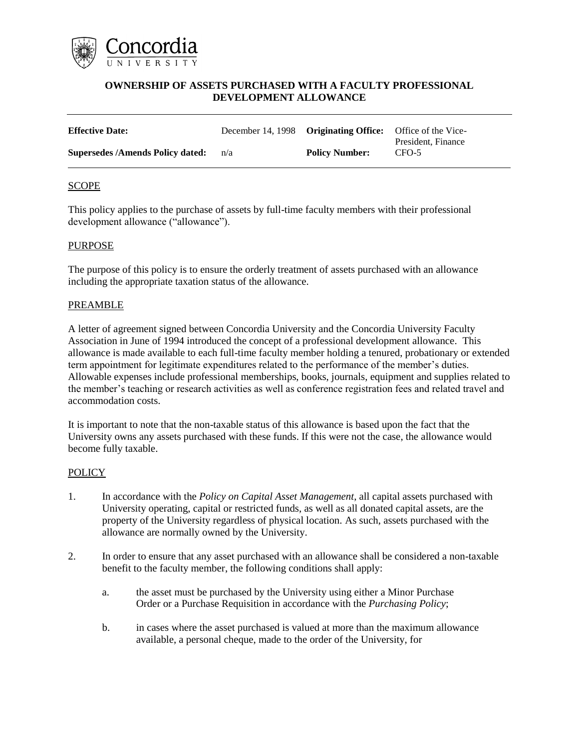

## **OWNERSHIP OF ASSETS PURCHASED WITH A FACULTY PROFESSIONAL DEVELOPMENT ALLOWANCE**

| <b>Effective Date:</b>                  |     | December 14, 1998 Originating Office: Office of the Vice- | President, Finance |
|-----------------------------------------|-----|-----------------------------------------------------------|--------------------|
| <b>Supersedes /Amends Policy dated:</b> | n/a | <b>Policy Number:</b>                                     | CFO-5              |

### **SCOPE**

This policy applies to the purchase of assets by full-time faculty members with their professional development allowance ("allowance").

### PURPOSE

The purpose of this policy is to ensure the orderly treatment of assets purchased with an allowance including the appropriate taxation status of the allowance.

### PREAMBLE

A letter of agreement signed between Concordia University and the Concordia University Faculty Association in June of 1994 introduced the concept of a professional development allowance. This allowance is made available to each full-time faculty member holding a tenured, probationary or extended term appointment for legitimate expenditures related to the performance of the member's duties. Allowable expenses include professional memberships, books, journals, equipment and supplies related to the member's teaching or research activities as well as conference registration fees and related travel and accommodation costs.

It is important to note that the non-taxable status of this allowance is based upon the fact that the University owns any assets purchased with these funds. If this were not the case, the allowance would become fully taxable.

### **POLICY**

- 1. In accordance with the *Policy on Capital Asset Management*, all capital assets purchased with University operating, capital or restricted funds, as well as all donated capital assets, are the property of the University regardless of physical location. As such, assets purchased with the allowance are normally owned by the University.
- 2. In order to ensure that any asset purchased with an allowance shall be considered a non-taxable benefit to the faculty member, the following conditions shall apply:
	- a. the asset must be purchased by the University using either a Minor Purchase Order or a Purchase Requisition in accordance with the *Purchasing Policy*;
	- b. in cases where the asset purchased is valued at more than the maximum allowance available, a personal cheque, made to the order of the University, for